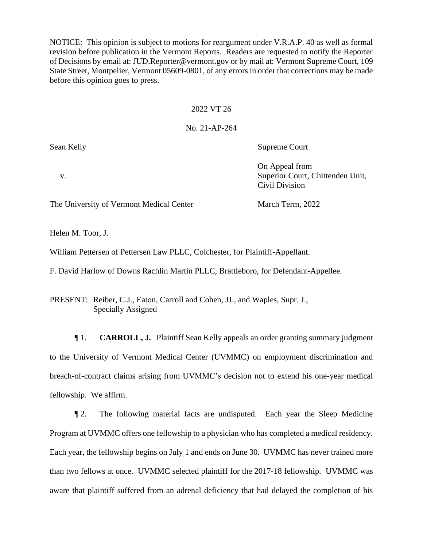NOTICE: This opinion is subject to motions for reargument under V.R.A.P. 40 as well as formal revision before publication in the Vermont Reports. Readers are requested to notify the Reporter of Decisions by email at: JUD.Reporter@vermont.gov or by mail at: Vermont Supreme Court, 109 State Street, Montpelier, Vermont 05609-0801, of any errors in order that corrections may be made before this opinion goes to press.

### 2022 VT 26

### No. 21-AP-264

Sean Kelly Supreme Court

On Appeal from v. Superior Court, Chittenden Unit, Civil Division

The University of Vermont Medical Center March Term, 2022

Helen M. Toor, J.

William Pettersen of Pettersen Law PLLC, Colchester, for Plaintiff-Appellant.

F. David Harlow of Downs Rachlin Martin PLLC, Brattleboro, for Defendant-Appellee.

PRESENT: Reiber, C.J., Eaton, Carroll and Cohen, JJ., and Waples, Supr. J., Specially Assigned

¶ 1. **CARROLL, J.** Plaintiff Sean Kelly appeals an order granting summary judgment to the University of Vermont Medical Center (UVMMC) on employment discrimination and breach-of-contract claims arising from UVMMC's decision not to extend his one-year medical fellowship. We affirm.

¶ 2. The following material facts are undisputed. Each year the Sleep Medicine Program at UVMMC offers one fellowship to a physician who has completed a medical residency. Each year, the fellowship begins on July 1 and ends on June 30. UVMMC has never trained more than two fellows at once. UVMMC selected plaintiff for the 2017-18 fellowship. UVMMC was aware that plaintiff suffered from an adrenal deficiency that had delayed the completion of his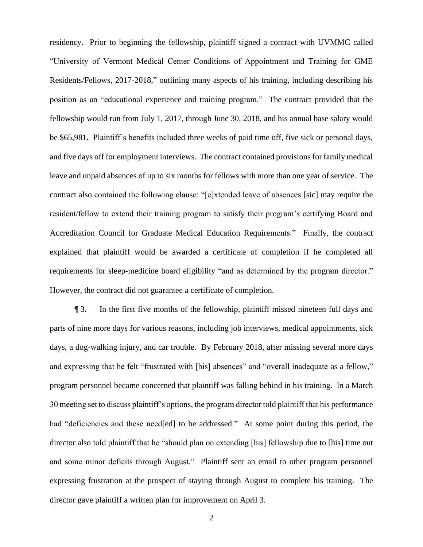residency. Prior to beginning the fellowship, plaintiff signed a contract with UVMMC called "University of Vermont Medical Center Conditions of Appointment and Training for GME Residents/Fellows, 2017-2018," outlining many aspects of his training, including describing his position as an "educational experience and training program." The contract provided that the fellowship would run from July 1, 2017, through June 30, 2018, and his annual base salary would be \$65,981. Plaintiff's benefits included three weeks of paid time off, five sick or personal days, and five days off for employment interviews. The contract contained provisions for family medical leave and unpaid absences of up to six months for fellows with more than one year of service. The contract also contained the following clause: "[e]xtended leave of absences [sic] may require the resident/fellow to extend their training program to satisfy their program's certifying Board and Accreditation Council for Graduate Medical Education Requirements." Finally, the contract explained that plaintiff would be awarded a certificate of completion if he completed all requirements for sleep-medicine board eligibility "and as determined by the program director." However, the contract did not guarantee a certificate of completion.

¶ 3. In the first five months of the fellowship, plaintiff missed nineteen full days and parts of nine more days for various reasons, including job interviews, medical appointments, sick days, a dog-walking injury, and car trouble. By February 2018, after missing several more days and expressing that he felt "frustrated with [his] absences" and "overall inadequate as a fellow," program personnel became concerned that plaintiff was falling behind in his training. In a March 30 meeting set to discuss plaintiff's options, the program director told plaintiff that his performance had "deficiencies and these need[ed] to be addressed." At some point during this period, the director also told plaintiff that he "should plan on extending [his] fellowship due to [his] time out and some minor deficits through August." Plaintiff sent an email to other program personnel expressing frustration at the prospect of staying through August to complete his training. The director gave plaintiff a written plan for improvement on April 3.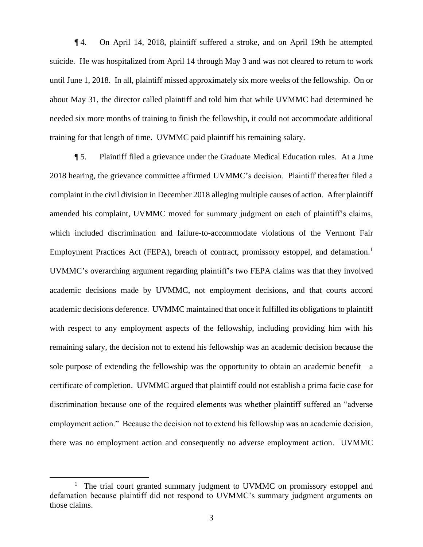¶ 4. On April 14, 2018, plaintiff suffered a stroke, and on April 19th he attempted suicide. He was hospitalized from April 14 through May 3 and was not cleared to return to work until June 1, 2018. In all, plaintiff missed approximately six more weeks of the fellowship. On or about May 31, the director called plaintiff and told him that while UVMMC had determined he needed six more months of training to finish the fellowship, it could not accommodate additional training for that length of time. UVMMC paid plaintiff his remaining salary.

¶ 5. Plaintiff filed a grievance under the Graduate Medical Education rules. At a June 2018 hearing, the grievance committee affirmed UVMMC's decision. Plaintiff thereafter filed a complaint in the civil division in December 2018 alleging multiple causes of action. After plaintiff amended his complaint, UVMMC moved for summary judgment on each of plaintiff's claims, which included discrimination and failure-to-accommodate violations of the Vermont Fair Employment Practices Act (FEPA), breach of contract, promissory estoppel, and defamation.<sup>1</sup> UVMMC's overarching argument regarding plaintiff's two FEPA claims was that they involved academic decisions made by UVMMC, not employment decisions, and that courts accord academic decisions deference. UVMMC maintained that once it fulfilled its obligations to plaintiff with respect to any employment aspects of the fellowship, including providing him with his remaining salary, the decision not to extend his fellowship was an academic decision because the sole purpose of extending the fellowship was the opportunity to obtain an academic benefit—a certificate of completion. UVMMC argued that plaintiff could not establish a prima facie case for discrimination because one of the required elements was whether plaintiff suffered an "adverse employment action." Because the decision not to extend his fellowship was an academic decision, there was no employment action and consequently no adverse employment action. UVMMC

<sup>&</sup>lt;sup>1</sup> The trial court granted summary judgment to UVMMC on promissory estoppel and defamation because plaintiff did not respond to UVMMC's summary judgment arguments on those claims.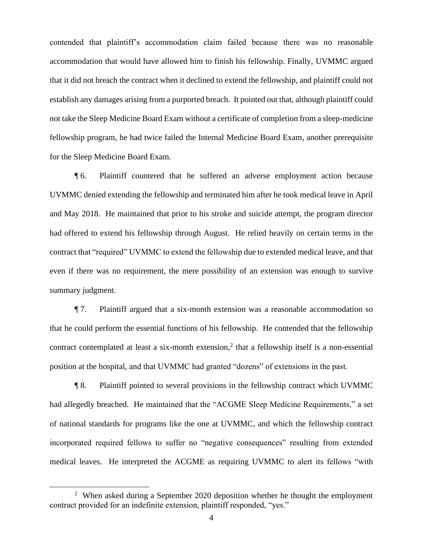contended that plaintiff's accommodation claim failed because there was no reasonable accommodation that would have allowed him to finish his fellowship. Finally, UVMMC argued that it did not breach the contract when it declined to extend the fellowship, and plaintiff could not establish any damages arising from a purported breach. It pointed out that, although plaintiff could not take the Sleep Medicine Board Exam without a certificate of completion from a sleep-medicine fellowship program, he had twice failed the Internal Medicine Board Exam, another prerequisite for the Sleep Medicine Board Exam.

¶ 6. Plaintiff countered that he suffered an adverse employment action because UVMMC denied extending the fellowship and terminated him after he took medical leave in April and May 2018. He maintained that prior to his stroke and suicide attempt, the program director had offered to extend his fellowship through August. He relied heavily on certain terms in the contract that "required" UVMMC to extend the fellowship due to extended medical leave, and that even if there was no requirement, the mere possibility of an extension was enough to survive summary judgment.

¶ 7. Plaintiff argued that a six-month extension was a reasonable accommodation so that he could perform the essential functions of his fellowship. He contended that the fellowship contract contemplated at least a six-month extension,<sup>2</sup> that a fellowship itself is a non-essential position at the hospital, and that UVMMC had granted "dozens" of extensions in the past.

¶ 8. Plaintiff pointed to several provisions in the fellowship contract which UVMMC had allegedly breached. He maintained that the "ACGME Sleep Medicine Requirements," a set of national standards for programs like the one at UVMMC, and which the fellowship contract incorporated required fellows to suffer no "negative consequences" resulting from extended medical leaves. He interpreted the ACGME as requiring UVMMC to alert its fellows "with

<sup>&</sup>lt;sup>2</sup> When asked during a September 2020 deposition whether he thought the employment contract provided for an indefinite extension, plaintiff responded, "yes."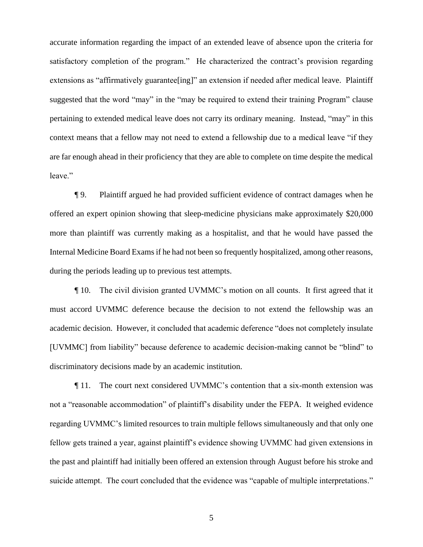accurate information regarding the impact of an extended leave of absence upon the criteria for satisfactory completion of the program." He characterized the contract's provision regarding extensions as "affirmatively guarantee [ing]" an extension if needed after medical leave. Plaintiff suggested that the word "may" in the "may be required to extend their training Program" clause pertaining to extended medical leave does not carry its ordinary meaning. Instead, "may" in this context means that a fellow may not need to extend a fellowship due to a medical leave "if they are far enough ahead in their proficiency that they are able to complete on time despite the medical leave."

¶ 9. Plaintiff argued he had provided sufficient evidence of contract damages when he offered an expert opinion showing that sleep-medicine physicians make approximately \$20,000 more than plaintiff was currently making as a hospitalist, and that he would have passed the Internal Medicine Board Exams if he had not been so frequently hospitalized, among other reasons, during the periods leading up to previous test attempts.

¶ 10. The civil division granted UVMMC's motion on all counts. It first agreed that it must accord UVMMC deference because the decision to not extend the fellowship was an academic decision. However, it concluded that academic deference "does not completely insulate [UVMMC] from liability" because deference to academic decision-making cannot be "blind" to discriminatory decisions made by an academic institution.

¶ 11. The court next considered UVMMC's contention that a six-month extension was not a "reasonable accommodation" of plaintiff's disability under the FEPA. It weighed evidence regarding UVMMC's limited resources to train multiple fellows simultaneously and that only one fellow gets trained a year, against plaintiff's evidence showing UVMMC had given extensions in the past and plaintiff had initially been offered an extension through August before his stroke and suicide attempt. The court concluded that the evidence was "capable of multiple interpretations."

5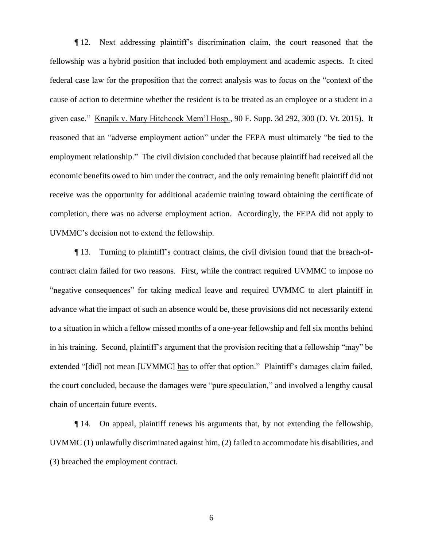¶ 12. Next addressing plaintiff's discrimination claim, the court reasoned that the fellowship was a hybrid position that included both employment and academic aspects. It cited federal case law for the proposition that the correct analysis was to focus on the "context of the cause of action to determine whether the resident is to be treated as an employee or a student in a given case." Knapik v. Mary Hitchcock Mem'l Hosp., 90 F. Supp. 3d 292, 300 (D. Vt. 2015). It reasoned that an "adverse employment action" under the FEPA must ultimately "be tied to the employment relationship." The civil division concluded that because plaintiff had received all the economic benefits owed to him under the contract, and the only remaining benefit plaintiff did not receive was the opportunity for additional academic training toward obtaining the certificate of completion, there was no adverse employment action. Accordingly, the FEPA did not apply to UVMMC's decision not to extend the fellowship.

¶ 13. Turning to plaintiff's contract claims, the civil division found that the breach-ofcontract claim failed for two reasons. First, while the contract required UVMMC to impose no "negative consequences" for taking medical leave and required UVMMC to alert plaintiff in advance what the impact of such an absence would be, these provisions did not necessarily extend to a situation in which a fellow missed months of a one-year fellowship and fell six months behind in his training. Second, plaintiff's argument that the provision reciting that a fellowship "may" be extended "[did] not mean [UVMMC] has to offer that option." Plaintiff's damages claim failed, the court concluded, because the damages were "pure speculation," and involved a lengthy causal chain of uncertain future events.

¶ 14. On appeal, plaintiff renews his arguments that, by not extending the fellowship, UVMMC (1) unlawfully discriminated against him, (2) failed to accommodate his disabilities, and (3) breached the employment contract.

6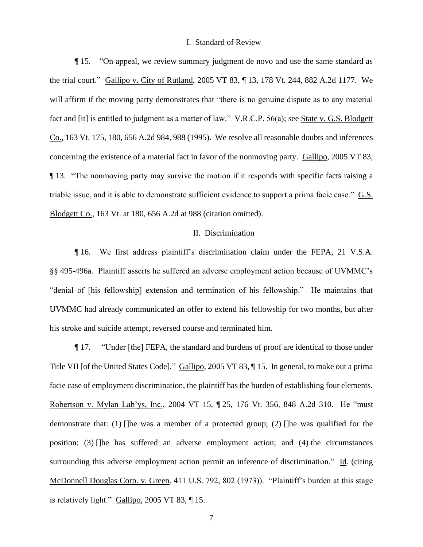### I. Standard of Review

¶ 15. "On appeal, we review summary judgment de novo and use the same standard as the trial court." Gallipo v. City of Rutland, 2005 VT 83, ¶ 13, 178 Vt. 244, 882 A.2d 1177. We will affirm if the moving party demonstrates that "there is no genuine dispute as to any material fact and [it] is entitled to judgment as a matter of law." V.R.C.P. 56(a); see State v. G.S. Blodgett Co., 163 Vt. 175, 180, 656 A.2d 984, 988 (1995). We resolve all reasonable doubts and inferences concerning the existence of a material fact in favor of the nonmoving party. Gallipo, 2005 VT 83, ¶ 13. "The nonmoving party may survive the motion if it responds with specific facts raising a triable issue, and it is able to demonstrate sufficient evidence to support a prima facie case." G.S. Blodgett Co., 163 Vt. at 180, 656 A.2d at 988 (citation omitted).

## II. Discrimination

¶ 16. We first address plaintiff's discrimination claim under the FEPA, 21 V.S.A. §§ 495-496a. Plaintiff asserts he suffered an adverse employment action because of UVMMC's "denial of [his fellowship] extension and termination of his fellowship." He maintains that UVMMC had already communicated an offer to extend his fellowship for two months, but after his stroke and suicide attempt, reversed course and terminated him.

¶ 17. "Under [the] FEPA, the standard and burdens of proof are identical to those under Title VII [of the United States Code]." Gallipo, 2005 VT 83, ¶ 15. In general, to make out a prima facie case of employment discrimination, the plaintiff has the burden of establishing four elements. Robertson v. Mylan Lab'ys, Inc., 2004 VT 15, ¶ 25, 176 Vt. 356, 848 A.2d 310. He "must demonstrate that: (1) []he was a member of a protected group; (2) []he was qualified for the position; (3) []he has suffered an adverse employment action; and (4) the circumstances surrounding this adverse employment action permit an inference of discrimination." Id. (citing McDonnell Douglas Corp. v. Green, 411 U.S. 792, 802 (1973)). "Plaintiff's burden at this stage is relatively light." Gallipo, 2005 VT 83, ¶ 15.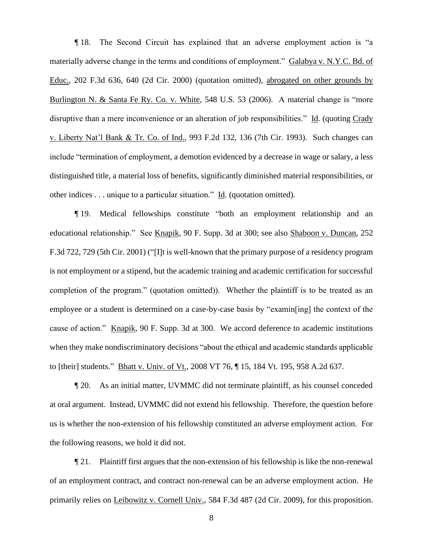¶ 18. The Second Circuit has explained that an adverse employment action is "a materially adverse change in the terms and conditions of employment." Galabya v. N.Y.C. Bd. of Educ., 202 F.3d 636, 640 (2d Cir. 2000) (quotation omitted), abrogated on other grounds by Burlington N. & Santa Fe Ry. Co. v. White, 548 U.S. 53 (2006). A material change is "more disruptive than a mere inconvenience or an alteration of job responsibilities." Id. (quoting Crady v. Liberty Nat'l Bank & Tr. Co. of Ind., 993 F.2d 132, 136 (7th Cir. 1993). Such changes can include "termination of employment, a demotion evidenced by a decrease in wage or salary, a less distinguished title, a material loss of benefits, significantly diminished material responsibilities, or other indices . . . unique to a particular situation." Id. (quotation omitted).

¶ 19. Medical fellowships constitute "both an employment relationship and an educational relationship." See Knapik, 90 F. Supp. 3d at 300; see also Shaboon v. Duncan, 252 F.3d 722, 729 (5th Cir. 2001) ("[I]t is well-known that the primary purpose of a residency program is not employment or a stipend, but the academic training and academic certification for successful completion of the program." (quotation omitted)). Whether the plaintiff is to be treated as an employee or a student is determined on a case-by-case basis by "examin[ing] the context of the cause of action." Knapik, 90 F. Supp. 3d at 300. We accord deference to academic institutions when they make nondiscriminatory decisions "about the ethical and academic standards applicable to [their] students." Bhatt v. Univ. of Vt., 2008 VT 76, ¶ 15, 184 Vt. 195, 958 A.2d 637.

¶ 20. As an initial matter, UVMMC did not terminate plaintiff, as his counsel conceded at oral argument. Instead, UVMMC did not extend his fellowship. Therefore, the question before us is whether the non-extension of his fellowship constituted an adverse employment action. For the following reasons, we hold it did not.

¶ 21. Plaintiff first argues that the non-extension of his fellowship is like the non-renewal of an employment contract, and contract non-renewal can be an adverse employment action. He primarily relies on Leibowitz v. Cornell Univ., 584 F.3d 487 (2d Cir. 2009), for this proposition.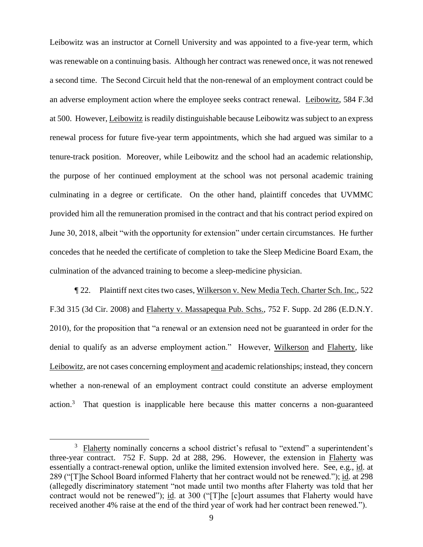Leibowitz was an instructor at Cornell University and was appointed to a five-year term, which was renewable on a continuing basis. Although her contract was renewed once, it was not renewed a second time. The Second Circuit held that the non-renewal of an employment contract could be an adverse employment action where the employee seeks contract renewal. Leibowitz, 584 F.3d at 500. However, Leibowitz is readily distinguishable because Leibowitz was subject to an express renewal process for future five-year term appointments, which she had argued was similar to a tenure-track position. Moreover, while Leibowitz and the school had an academic relationship, the purpose of her continued employment at the school was not personal academic training culminating in a degree or certificate. On the other hand, plaintiff concedes that UVMMC provided him all the remuneration promised in the contract and that his contract period expired on June 30, 2018, albeit "with the opportunity for extension" under certain circumstances. He further concedes that he needed the certificate of completion to take the Sleep Medicine Board Exam, the culmination of the advanced training to become a sleep-medicine physician.

¶ 22. Plaintiff next cites two cases, Wilkerson v. New Media Tech. Charter Sch. Inc., 522 F.3d 315 (3d Cir. 2008) and Flaherty v. Massapequa Pub. Schs., 752 F. Supp. 2d 286 (E.D.N.Y. 2010), for the proposition that "a renewal or an extension need not be guaranteed in order for the denial to qualify as an adverse employment action." However, Wilkerson and Flaherty, like Leibowitz, are not cases concerning employment and academic relationships; instead, they concern whether a non-renewal of an employment contract could constitute an adverse employment  $\arctan^3$  That question is inapplicable here because this matter concerns a non-guaranteed

<sup>&</sup>lt;sup>3</sup> Flaherty nominally concerns a school district's refusal to "extend" a superintendent's three-year contract. 752 F. Supp. 2d at 288, 296. However, the extension in Flaherty was essentially a contract-renewal option, unlike the limited extension involved here. See, e.g., id. at 289 ("[T]he School Board informed Flaherty that her contract would not be renewed."); id. at 298 (allegedly discriminatory statement "not made until two months after Flaherty was told that her contract would not be renewed"); id. at 300 ("[T]he [c]ourt assumes that Flaherty would have received another 4% raise at the end of the third year of work had her contract been renewed.").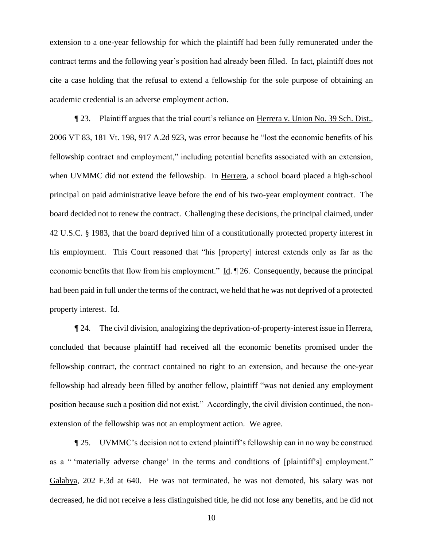extension to a one-year fellowship for which the plaintiff had been fully remunerated under the contract terms and the following year's position had already been filled. In fact, plaintiff does not cite a case holding that the refusal to extend a fellowship for the sole purpose of obtaining an academic credential is an adverse employment action.

¶ 23. Plaintiff argues that the trial court's reliance on Herrera v. Union No. 39 Sch. Dist., 2006 VT 83, 181 Vt. 198, 917 A.2d 923, was error because he "lost the economic benefits of his fellowship contract and employment," including potential benefits associated with an extension, when UVMMC did not extend the fellowship. In Herrera, a school board placed a high-school principal on paid administrative leave before the end of his two-year employment contract. The board decided not to renew the contract. Challenging these decisions, the principal claimed, under 42 U.S.C. § 1983, that the board deprived him of a constitutionally protected property interest in his employment. This Court reasoned that "his [property] interest extends only as far as the economic benefits that flow from his employment." Id. ¶ 26. Consequently, because the principal had been paid in full under the terms of the contract, we held that he was not deprived of a protected property interest. Id.

¶ 24. The civil division, analogizing the deprivation-of-property-interest issue in Herrera, concluded that because plaintiff had received all the economic benefits promised under the fellowship contract, the contract contained no right to an extension, and because the one-year fellowship had already been filled by another fellow, plaintiff "was not denied any employment position because such a position did not exist." Accordingly, the civil division continued, the nonextension of the fellowship was not an employment action. We agree.

¶ 25. UVMMC's decision not to extend plaintiff's fellowship can in no way be construed as a " 'materially adverse change' in the terms and conditions of [plaintiff's] employment." Galabya, 202 F.3d at 640. He was not terminated, he was not demoted, his salary was not decreased, he did not receive a less distinguished title, he did not lose any benefits, and he did not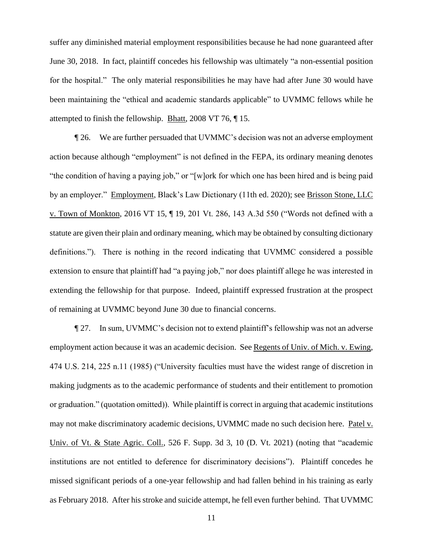suffer any diminished material employment responsibilities because he had none guaranteed after June 30, 2018. In fact, plaintiff concedes his fellowship was ultimately "a non-essential position for the hospital." The only material responsibilities he may have had after June 30 would have been maintaining the "ethical and academic standards applicable" to UVMMC fellows while he attempted to finish the fellowship. Bhatt, 2008 VT 76, ¶ 15.

¶ 26. We are further persuaded that UVMMC's decision was not an adverse employment action because although "employment" is not defined in the FEPA, its ordinary meaning denotes "the condition of having a paying job," or "[w]ork for which one has been hired and is being paid by an employer." Employment, Black's Law Dictionary (11th ed. 2020); see Brisson Stone, LLC v. Town of Monkton, 2016 VT 15, ¶ 19, 201 Vt. 286, 143 A.3d 550 ("Words not defined with a statute are given their plain and ordinary meaning, which may be obtained by consulting dictionary definitions."). There is nothing in the record indicating that UVMMC considered a possible extension to ensure that plaintiff had "a paying job," nor does plaintiff allege he was interested in extending the fellowship for that purpose. Indeed, plaintiff expressed frustration at the prospect of remaining at UVMMC beyond June 30 due to financial concerns.

¶ 27. In sum, UVMMC's decision not to extend plaintiff's fellowship was not an adverse employment action because it was an academic decision. See Regents of Univ. of Mich. v. Ewing, 474 U.S. 214, 225 n.11 (1985) ("University faculties must have the widest range of discretion in making judgments as to the academic performance of students and their entitlement to promotion or graduation." (quotation omitted)). While plaintiff is correct in arguing that academic institutions may not make discriminatory academic decisions, UVMMC made no such decision here. Patel v. Univ. of Vt. & State Agric. Coll., 526 F. Supp. 3d 3, 10 (D. Vt. 2021) (noting that "academic institutions are not entitled to deference for discriminatory decisions"). Plaintiff concedes he missed significant periods of a one-year fellowship and had fallen behind in his training as early as February 2018. After his stroke and suicide attempt, he fell even further behind. That UVMMC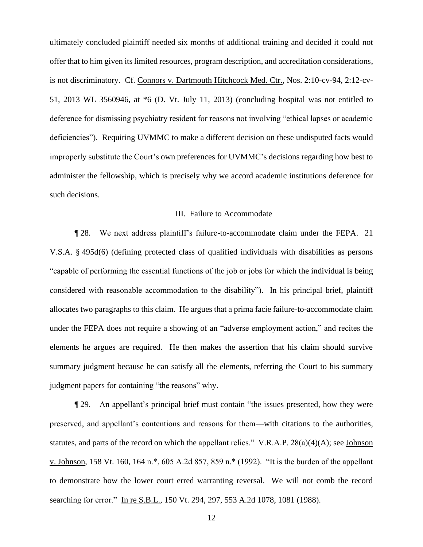ultimately concluded plaintiff needed six months of additional training and decided it could not offer that to him given its limited resources, program description, and accreditation considerations, is not discriminatory. Cf. Connors v. Dartmouth Hitchcock Med. Ctr., Nos. 2:10-cv-94, 2:12-cv-51, 2013 WL 3560946, at \*6 (D. Vt. July 11, 2013) (concluding hospital was not entitled to deference for dismissing psychiatry resident for reasons not involving "ethical lapses or academic deficiencies"). Requiring UVMMC to make a different decision on these undisputed facts would improperly substitute the Court's own preferences for UVMMC's decisions regarding how best to administer the fellowship, which is precisely why we accord academic institutions deference for such decisions.

### III. Failure to Accommodate

¶ 28. We next address plaintiff's failure-to-accommodate claim under the FEPA. 21 V.S.A. § 495d(6) (defining protected class of qualified individuals with disabilities as persons "capable of performing the essential functions of the job or jobs for which the individual is being considered with reasonable accommodation to the disability"). In his principal brief, plaintiff allocates two paragraphs to this claim. He argues that a prima facie failure-to-accommodate claim under the FEPA does not require a showing of an "adverse employment action," and recites the elements he argues are required. He then makes the assertion that his claim should survive summary judgment because he can satisfy all the elements, referring the Court to his summary judgment papers for containing "the reasons" why.

¶ 29. An appellant's principal brief must contain "the issues presented, how they were preserved, and appellant's contentions and reasons for them—with citations to the authorities, statutes, and parts of the record on which the appellant relies." V.R.A.P. 28(a)(4)(A); see Johnson v. Johnson, 158 Vt. 160, 164 n.\*, 605 A.2d 857, 859 n.\* (1992). "It is the burden of the appellant to demonstrate how the lower court erred warranting reversal. We will not comb the record searching for error." In re S.B.L., 150 Vt. 294, 297, 553 A.2d 1078, 1081 (1988).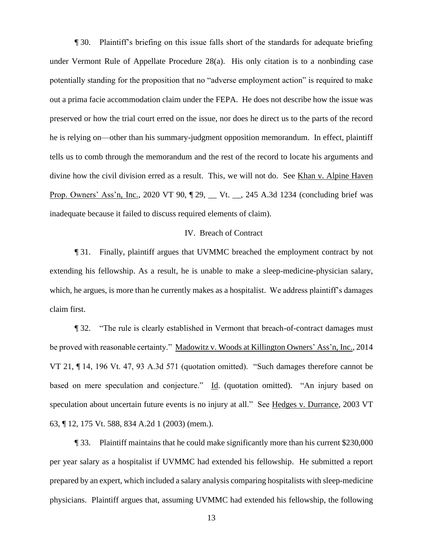¶ 30. Plaintiff's briefing on this issue falls short of the standards for adequate briefing under Vermont Rule of Appellate Procedure 28(a). His only citation is to a nonbinding case potentially standing for the proposition that no "adverse employment action" is required to make out a prima facie accommodation claim under the FEPA. He does not describe how the issue was preserved or how the trial court erred on the issue, nor does he direct us to the parts of the record he is relying on—other than his summary-judgment opposition memorandum. In effect, plaintiff tells us to comb through the memorandum and the rest of the record to locate his arguments and divine how the civil division erred as a result. This, we will not do. See Khan v. Alpine Haven Prop. Owners' Ass'n, Inc., 2020 VT 90, ¶ 29, \_\_ Vt. \_\_, 245 A.3d 1234 (concluding brief was inadequate because it failed to discuss required elements of claim).

# IV. Breach of Contract

¶ 31. Finally, plaintiff argues that UVMMC breached the employment contract by not extending his fellowship. As a result, he is unable to make a sleep-medicine-physician salary, which, he argues, is more than he currently makes as a hospitalist. We address plaintiff's damages claim first.

¶ 32. "The rule is clearly established in Vermont that breach-of-contract damages must be proved with reasonable certainty." Madowitz v. Woods at Killington Owners' Ass'n, Inc., 2014 VT 21, ¶ 14, 196 Vt. 47, 93 A.3d 571 (quotation omitted). "Such damages therefore cannot be based on mere speculation and conjecture." Id. (quotation omitted). "An injury based on speculation about uncertain future events is no injury at all." See Hedges v. Durrance, 2003 VT 63, ¶ 12, 175 Vt. 588, 834 A.2d 1 (2003) (mem.).

¶ 33. Plaintiff maintains that he could make significantly more than his current \$230,000 per year salary as a hospitalist if UVMMC had extended his fellowship. He submitted a report prepared by an expert, which included a salary analysis comparing hospitalists with sleep-medicine physicians. Plaintiff argues that, assuming UVMMC had extended his fellowship, the following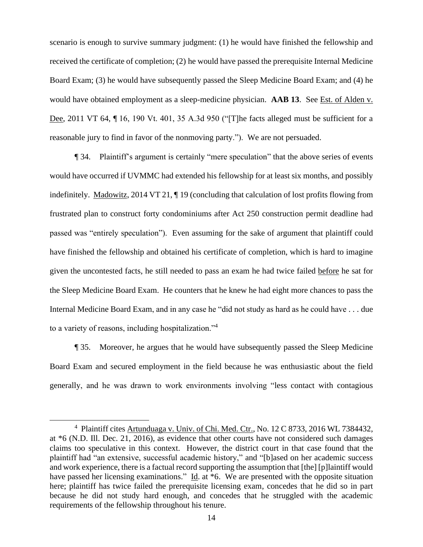scenario is enough to survive summary judgment: (1) he would have finished the fellowship and received the certificate of completion; (2) he would have passed the prerequisite Internal Medicine Board Exam; (3) he would have subsequently passed the Sleep Medicine Board Exam; and (4) he would have obtained employment as a sleep-medicine physician. **AAB 13**. See Est. of Alden v. Dee, 2011 VT 64, ¶ 16, 190 Vt. 401, 35 A.3d 950 ("[T]he facts alleged must be sufficient for a reasonable jury to find in favor of the nonmoving party."). We are not persuaded.

¶ 34. Plaintiff's argument is certainly "mere speculation" that the above series of events would have occurred if UVMMC had extended his fellowship for at least six months, and possibly indefinitely. Madowitz, 2014 VT 21, ¶ 19 (concluding that calculation of lost profits flowing from frustrated plan to construct forty condominiums after Act 250 construction permit deadline had passed was "entirely speculation"). Even assuming for the sake of argument that plaintiff could have finished the fellowship and obtained his certificate of completion, which is hard to imagine given the uncontested facts, he still needed to pass an exam he had twice failed before he sat for the Sleep Medicine Board Exam. He counters that he knew he had eight more chances to pass the Internal Medicine Board Exam, and in any case he "did not study as hard as he could have . . . due to a variety of reasons, including hospitalization."<sup>4</sup>

¶ 35. Moreover, he argues that he would have subsequently passed the Sleep Medicine Board Exam and secured employment in the field because he was enthusiastic about the field generally, and he was drawn to work environments involving "less contact with contagious

<sup>&</sup>lt;sup>4</sup> Plaintiff cites Artunduaga v. Univ. of Chi. Med. Ctr., No. 12 C 8733, 2016 WL 7384432, at \*6 (N.D. Ill. Dec. 21, 2016), as evidence that other courts have not considered such damages claims too speculative in this context. However, the district court in that case found that the plaintiff had "an extensive, successful academic history," and "[b]ased on her academic success and work experience, there is a factual record supporting the assumption that [the] [p]laintiff would have passed her licensing examinations." Id. at  $*6$ . We are presented with the opposite situation here; plaintiff has twice failed the prerequisite licensing exam, concedes that he did so in part because he did not study hard enough, and concedes that he struggled with the academic requirements of the fellowship throughout his tenure.